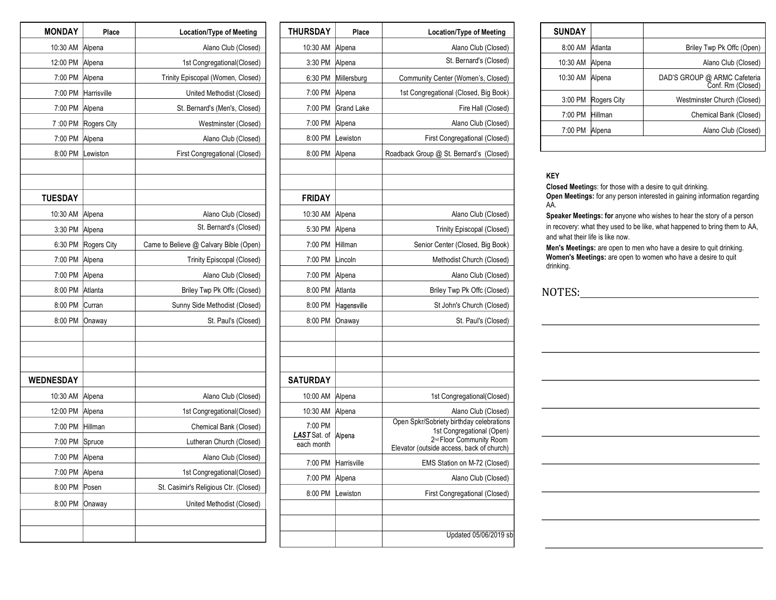| <b>MONDAY</b>    | Place       | <b>Location/Type of Meeting</b>        |
|------------------|-------------|----------------------------------------|
| 10:30 AM         | Alpena      | Alano Club (Closed)                    |
| 12:00 PM         | Alpena      | 1st Congregational(Closed)             |
| 7:00 PM          | Alpena      | Trinity Episcopal (Women, Closed)      |
| 7:00 PM          | Harrisville | United Methodist (Closed)              |
| 7:00 PM          | Alpena      | St. Bernard's (Men's, Closed)          |
| 7:00 PM          | Rogers City | Westminster (Closed)                   |
| 7:00 PM          | Alpena      | Alano Club (Closed)                    |
| 8:00 PM          | Lewiston    | First Congregational (Closed)          |
|                  |             |                                        |
|                  |             |                                        |
| <b>TUESDAY</b>   |             |                                        |
| 10:30 AM         | Alpena      | Alano Club (Closed)                    |
| 3:30 PM          | Alpena      | St. Bernard's (Closed)                 |
| 6:30 PM          | Rogers City | Came to Believe @ Calvary Bible (Open) |
| 7:00 PM          | Alpena      | <b>Trinity Episcopal (Closed)</b>      |
| 7:00 PM          | Alpena      | Alano Club (Closed)                    |
| 8:00 PM          | Atlanta     | Briley Twp Pk Offc (Closed)            |
| 8:00 PM          | Curran      | Sunny Side Methodist (Closed)          |
| 8:00 PM          | Onaway      | St. Paul's (Closed)                    |
|                  |             |                                        |
|                  |             |                                        |
|                  |             |                                        |
| <b>WEDNESDAY</b> |             |                                        |
| 10:30 AM         | Alpena      | Alano Club (Closed)                    |
| 12:00 PM         | Alpena      | 1st Congregational(Closed)             |
| 7:00 PM          | Hillman     | Chemical Bank (Closed)                 |
| 7:00 PM          | Spruce      | Lutheran Church (Closed)               |
| 7:00 PM          | Alpena      | Alano Club (Closed)                    |
| 7:00 PM          | Alpena      | 1st Congregational(Closed)             |
| 8:00 PM          | Posen       | St. Casimir's Religious Ctr. (Closed)  |
| 8:00 PM          | Onaway      | United Methodist (Closed)              |
|                  |             |                                        |
|                  |             |                                        |

| <b>THURSDAY</b>            | Place       | <b>Location/Type of Meeting</b>                                       |
|----------------------------|-------------|-----------------------------------------------------------------------|
| 10:30 AM                   | Alpena      | Alano Club (Closed)                                                   |
| 3:30 PM                    | Alpena      | St. Bernard's (Closed)                                                |
| 6:30 PM                    | Millersburg | Community Center (Women's, Closed)                                    |
| 7:00 PM                    | Alpena      | 1st Congregational (Closed, Big Book)                                 |
| 7:00 PM                    | Grand Lake  | Fire Hall (Closed)                                                    |
| 7:00 PM                    | Alpena      | Alano Club (Closed)                                                   |
| 8:00 PM                    | Lewiston    | First Congregational (Closed)                                         |
| 8:00 PM                    | Alpena      | Roadback Group @ St. Bernard's (Closed)                               |
|                            |             |                                                                       |
|                            |             |                                                                       |
| <b>FRIDAY</b>              |             |                                                                       |
| 10:30 AM                   | Alpena      | Alano Club (Closed)                                                   |
| 5:30 PM                    | Alpena      | <b>Trinity Episcopal (Closed)</b>                                     |
| 7:00 PM                    | Hillman     | Senior Center (Closed, Big Book)                                      |
| 7:00 PM                    | Lincoln     | Methodist Church (Closed)                                             |
| 7:00 PM                    | Alpena      | Alano Club (Closed)                                                   |
| 8:00 PM                    | Atlanta     | Briley Twp Pk Offc (Closed)                                           |
| 8:00 PM                    | Hagensville | St John's Church (Closed)                                             |
| 8:00 PM                    | Onaway      | St. Paul's (Closed)                                                   |
|                            |             |                                                                       |
|                            |             |                                                                       |
|                            |             |                                                                       |
| <b>SATURDAY</b>            |             |                                                                       |
| 10:00 AM                   | Alpena      | 1st Congregational(Closed)                                            |
| 10:30 AM                   | Alpena      | Alano Club (Closed)                                                   |
| 7:00 PM                    |             | Open Spkr/Sobriety birthday celebrations<br>1st Congregational (Open) |
| LAST Sat. of<br>each month | Alpena      | 2 <sup>nd</sup> Floor Community Room                                  |
|                            |             | Elevator (outside access, back of church)                             |
| 7:00 PM                    | Harrisville | EMS Station on M-72 (Closed)                                          |
| 7:00 PM                    | Alpena      | Alano Club (Closed)                                                   |
| 8:00 PM                    | Lewiston    | First Congregational (Closed)                                         |
|                            |             |                                                                       |
|                            |             |                                                                       |
|                            |             | Updated 05/06/2019 sb                                                 |

| <b>SUNDAY</b> |             |                                                   |
|---------------|-------------|---------------------------------------------------|
| 8:00 AM       | Atlanta     | Briley Twp Pk Offc (Open)                         |
| 10:30 AM      | Alpena      | Alano Club (Closed)                               |
| 10:30 AM      | Alpena      | DAD'S GROUP @ ARMC Cafeteria<br>Conf. Rm (Closed) |
| 3:00 PM       | Rogers City | Westminster Church (Closed)                       |
| 7:00 PM       | Hillman     | Chemical Bank (Closed)                            |
| 7:00 PM       | Alpena      | Alano Club (Closed)                               |
|               |             |                                                   |

#### **KEY**

**Closed Meeting**s: for those with a desire to quit drinking. **Open Meetings:** for any person interested in gaining information regarding AA.

**Speaker Meetings: for** anyone who wishes to hear the story of a person in recovery: what they used to be like, what happened to bring them to AA, and what their life is like now.

**Men's Meetings:** are open to men who have a desire to quit drinking. **Women's Meetings:** are open to women who have a desire to quit drinking.

#### NOTES: